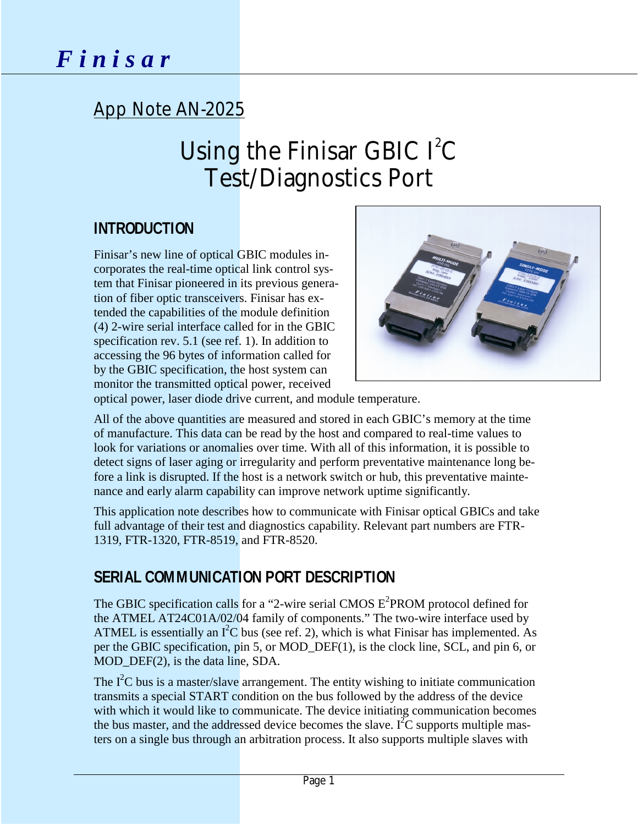# App Note AN-2025

# Using the Finisar GBIC  $I^2C$ Test/Diagnostics Port

# **INTRODUCTION**

Finisar's new line of optical GBIC modules incorporates the real-time optical link control system that Finisar pioneered in its previous generation of fiber optic transceivers. Finisar has extended the capabilities of the module definition (4) 2-wire serial interface called for in the GBIC specification rev. 5.1 (see ref. 1). In addition to accessing the 96 bytes of information called for by the GBIC specification, the host system can monitor the transmitted optical power, received



optical power, laser diode drive current, and module temperature.

All of the above quantities are measured and stored in each GBIC's memory at the time of manufacture. This data can be read by the host and compared to real-time values to look for variations or anomalies over time. With all of this information, it is possible to detect signs of laser aging or irregularity and perform preventative maintenance long before a link is disrupted. If the host is a network switch or hub, this preventative maintenance and early alarm capability can improve network uptime significantly.

This application note describes how to communicate with Finisar optical GBICs and take full advantage of their test and diagnostics capability. Relevant part numbers are FTR-1319, FTR-1320, FTR-8519, and FTR-8520.

# **SERIAL COMMUNICATION PORT DESCRIPTION**

The GBIC specification calls for a "2-wire serial CMOS  $E^2$ PROM protocol defined for the ATMEL AT24C01A/02/04 family of components." The two-wire interface used by ATMEL is essentially an  $I^2C$  bus (see ref. 2), which is what Finisar has implemented. As per the GBIC specification, pin 5, or MOD\_DEF(1), is the clock line, SCL, and pin 6, or MOD\_DEF(2), is the data line, SDA.

The  $I<sup>2</sup>C$  bus is a master/slave arrangement. The entity wishing to initiate communication transmits a special START condition on the bus followed by the address of the device with which it would like to communicate. The device initiating communication becomes the bus master, and the addressed device becomes the slave.  $I^2\overline{C}$  supports multiple masters on a single bus through an arbitration process. It also supports multiple slaves with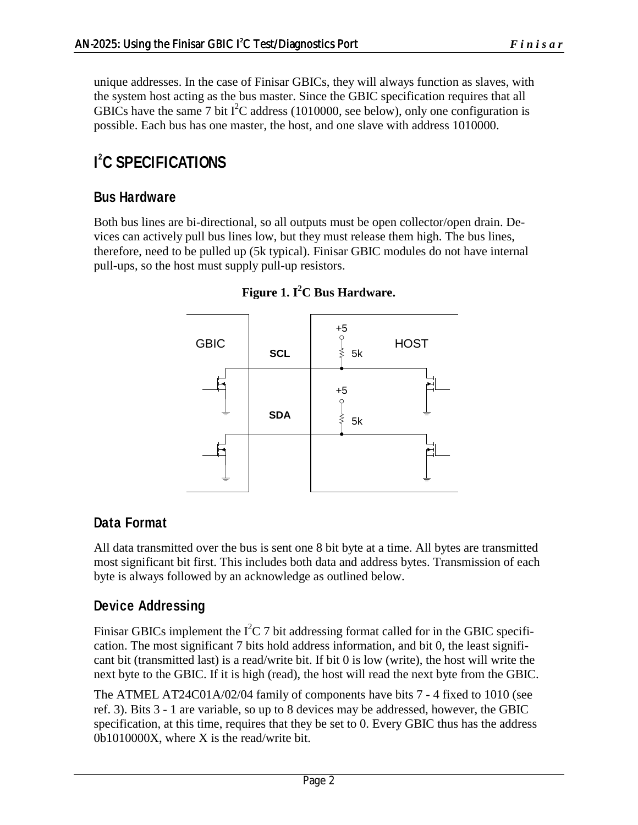unique addresses. In the case of Finisar GBICs, they will always function as slaves, with the system host acting as the bus master. Since the GBIC specification requires that all GBICs have the same 7 bit  $I^2C$  address (1010000, see below), only one configuration is possible. Each bus has one master, the host, and one slave with address 1010000.

# **I 2 C SPECIFICATIONS**

### **Bus Hardware**

Both bus lines are bi-directional, so all outputs must be open collector/open drain. Devices can actively pull bus lines low, but they must release them high. The bus lines, therefore, need to be pulled up (5k typical). Finisar GBIC modules do not have internal pull-ups, so the host must supply pull-up resistors.



**Figure 1. I<sup>2</sup> C Bus Hardware.** 

## **Data Format**

All data transmitted over the bus is sent one 8 bit byte at a time. All bytes are transmitted most significant bit first. This includes both data and address bytes. Transmission of each byte is always followed by an acknowledge as outlined below.

## **Device Addressing**

Finisar GBICs implement the  $I^2C$  7 bit addressing format called for in the GBIC specification. The most significant 7 bits hold address information, and bit 0, the least significant bit (transmitted last) is a read/write bit. If bit 0 is low (write), the host will write the next byte to the GBIC. If it is high (read), the host will read the next byte from the GBIC.

The ATMEL AT24C01A/02/04 family of components have bits 7 - 4 fixed to 1010 (see ref. 3). Bits 3 - 1 are variable, so up to 8 devices may be addressed, however, the GBIC specification, at this time, requires that they be set to 0. Every GBIC thus has the address 0b1010000X, where X is the read/write bit.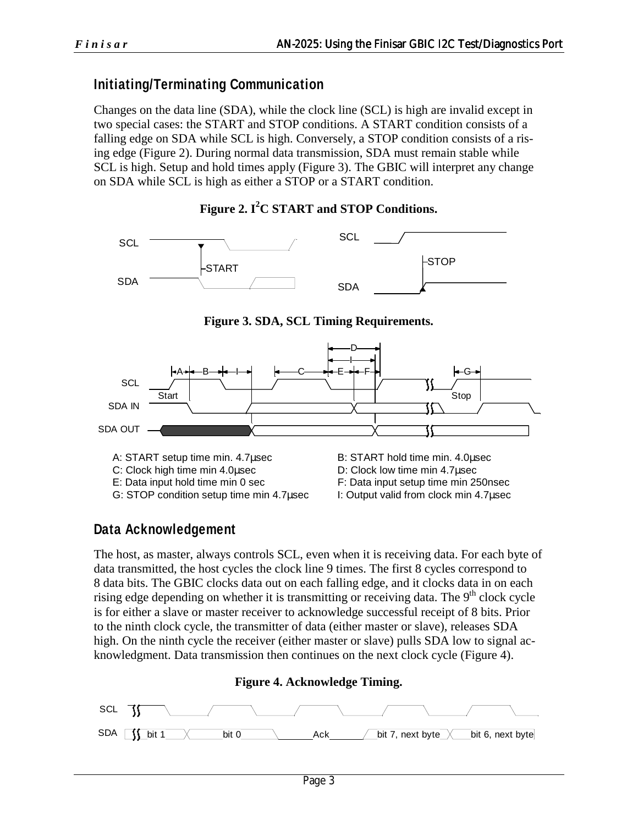### **Initiating/Terminating Communication**

Changes on the data line (SDA), while the clock line (SCL) is high are invalid except in two special cases: the START and STOP conditions. A START condition consists of a falling edge on SDA while SCL is high. Conversely, a STOP condition consists of a rising edge (Figure 2). During normal data transmission, SDA must remain stable while SCL is high. Setup and hold times apply (Figure 3). The GBIC will interpret any change on SDA while SCL is high as either a STOP or a START condition.

#### **Figure 2. I<sup>2</sup> C START and STOP Conditions.**



**Figure 3. SDA, SCL Timing Requirements.** 



### **Data Acknowledgement**

The host, as master, always controls SCL, even when it is receiving data. For each byte of data transmitted, the host cycles the clock line 9 times. The first 8 cycles correspond to 8 data bits. The GBIC clocks data out on each falling edge, and it clocks data in on each rising edge depending on whether it is transmitting or receiving data. The  $9<sup>th</sup>$  clock cycle is for either a slave or master receiver to acknowledge successful receipt of 8 bits. Prior to the ninth clock cycle, the transmitter of data (either master or slave), releases SDA high. On the ninth cycle the receiver (either master or slave) pulls SDA low to signal acknowledgment. Data transmission then continues on the next clock cycle (Figure 4).

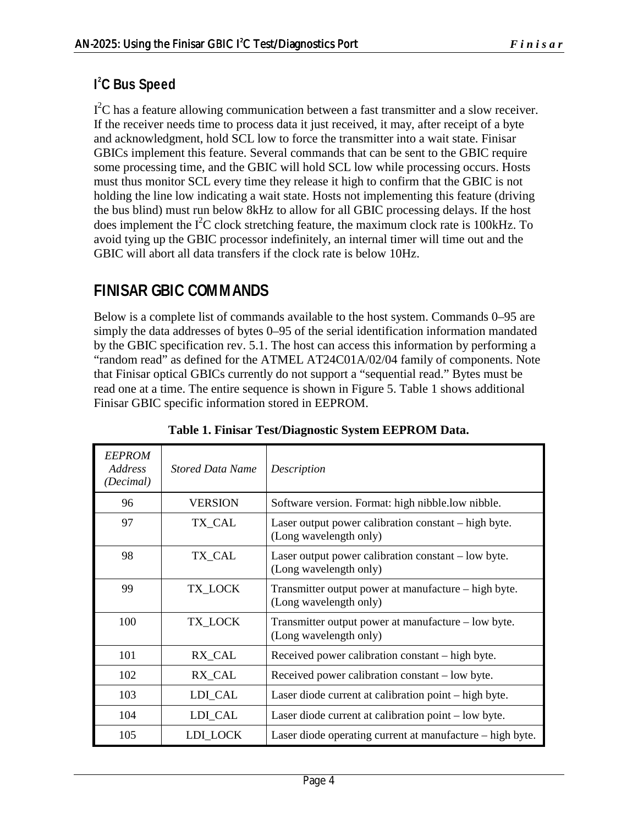### **I 2 C Bus Speed**

 $I<sup>2</sup>C$  has a feature allowing communication between a fast transmitter and a slow receiver. If the receiver needs time to process data it just received, it may, after receipt of a byte and acknowledgment, hold SCL low to force the transmitter into a wait state. Finisar GBICs implement this feature. Several commands that can be sent to the GBIC require some processing time, and the GBIC will hold SCL low while processing occurs. Hosts must thus monitor SCL every time they release it high to confirm that the GBIC is not holding the line low indicating a wait state. Hosts not implementing this feature (driving the bus blind) must run below 8kHz to allow for all GBIC processing delays. If the host does implement the  $I^2C$  clock stretching feature, the maximum clock rate is 100kHz. To avoid tying up the GBIC processor indefinitely, an internal timer will time out and the GBIC will abort all data transfers if the clock rate is below 10Hz.

# **FINISAR GBIC COMMANDS**

Below is a complete list of commands available to the host system. Commands 0–95 are simply the data addresses of bytes 0–95 of the serial identification information mandated by the GBIC specification rev. 5.1. The host can access this information by performing a "random read" as defined for the ATMEL AT24C01A/02/04 family of components. Note that Finisar optical GBICs currently do not support a "sequential read." Bytes must be read one at a time. The entire sequence is shown in Figure 5. Table 1 shows additional Finisar GBIC specific information stored in EEPROM.

| <b>EEPROM</b><br>Address<br>(Decimal) | <b>Stored Data Name</b> | Description                                                                    |
|---------------------------------------|-------------------------|--------------------------------------------------------------------------------|
| 96                                    | <b>VERSION</b>          | Software version. Format: high nibble.low nibble.                              |
| 97                                    | TX_CAL                  | Laser output power calibration constant – high byte.<br>(Long wavelength only) |
| 98                                    | TX CAL                  | Laser output power calibration constant – low byte.<br>(Long wavelength only)  |
| 99                                    | TX_LOCK                 | Transmitter output power at manufacture – high byte.<br>(Long wavelength only) |
| 100                                   | TX LOCK                 | Transmitter output power at manufacture – low byte.<br>(Long wavelength only)  |
| 101                                   | RX_CAL                  | Received power calibration constant – high byte.                               |
| 102                                   | RX_CAL                  | Received power calibration constant – low byte.                                |
| 103                                   | LDI_CAL                 | Laser diode current at calibration point – high byte.                          |
| 104                                   | LDI_CAL                 | Laser diode current at calibration point – low byte.                           |
| 105                                   | LDI LOCK                | Laser diode operating current at manufacture – high byte.                      |

**Table 1. Finisar Test/Diagnostic System EEPROM Data.**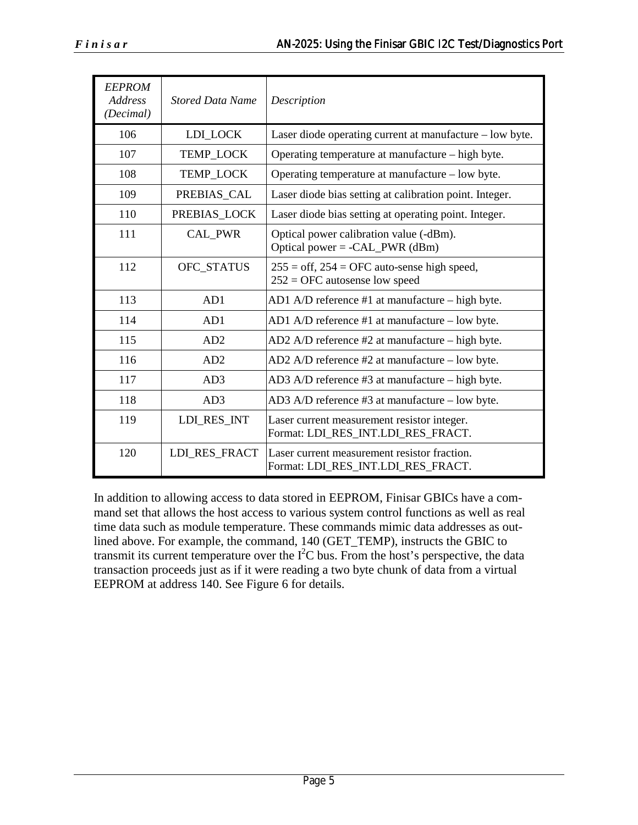| <b>EEPROM</b><br><b>Address</b><br>(Decimal) | <b>Stored Data Name</b> | Description                                                                        |  |
|----------------------------------------------|-------------------------|------------------------------------------------------------------------------------|--|
| 106                                          | LDI_LOCK                | Laser diode operating current at manufacture - low byte.                           |  |
| 107                                          | TEMP_LOCK               | Operating temperature at manufacture – high byte.                                  |  |
| 108                                          | TEMP_LOCK               | Operating temperature at manufacture – low byte.                                   |  |
| 109                                          | PREBIAS_CAL             | Laser diode bias setting at calibration point. Integer.                            |  |
| 110                                          | PREBIAS_LOCK            | Laser diode bias setting at operating point. Integer.                              |  |
| 111                                          | <b>CAL PWR</b>          | Optical power calibration value (-dBm).<br>Optical power = - $CAL$ PWR (dBm)       |  |
| 112                                          | OFC_STATUS              | $255 =$ off, $254 =$ OFC auto-sense high speed,<br>$252 =$ OFC autosense low speed |  |
| 113                                          | AD1                     | AD1 A/D reference #1 at manufacture - high byte.                                   |  |
| 114                                          | AD1                     | AD1 A/D reference #1 at manufacture - low byte.                                    |  |
| 115                                          | AD2                     | AD2 A/D reference #2 at manufacture – high byte.                                   |  |
| 116                                          | AD2                     | AD2 A/D reference $#2$ at manufacture $-$ low byte.                                |  |
| 117                                          | AD3                     | AD3 A/D reference #3 at manufacture – high byte.                                   |  |
| 118                                          | AD3                     | AD3 A/D reference $#3$ at manufacture $-$ low byte.                                |  |
| 119                                          | LDI_RES_INT             | Laser current measurement resistor integer.<br>Format: LDI_RES_INT.LDI_RES_FRACT.  |  |
| 120                                          | LDI RES FRACT           | Laser current measurement resistor fraction.<br>Format: LDI_RES_INT.LDI_RES_FRACT. |  |

In addition to allowing access to data stored in EEPROM, Finisar GBICs have a command set that allows the host access to various system control functions as well as real time data such as module temperature. These commands mimic data addresses as outlined above. For example, the command, 140 (GET\_TEMP), instructs the GBIC to transmit its current temperature over the  $I<sup>2</sup>C$  bus. From the host's perspective, the data transaction proceeds just as if it were reading a two byte chunk of data from a virtual EEPROM at address 140. See Figure 6 for details.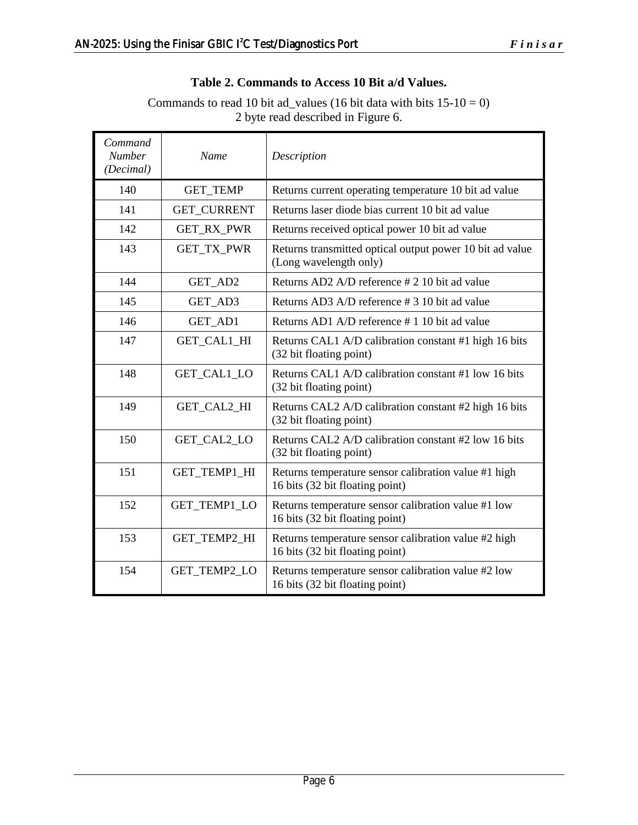#### **Table 2. Commands to Access 10 Bit a/d Values.**

Commands to read 10 bit ad\_values (16 bit data with bits  $15-10 = 0$ ) 2 byte read described in Figure 6.

| Command<br><b>Number</b><br>(Decimal) | Name               | Description                                                                             |  |  |
|---------------------------------------|--------------------|-----------------------------------------------------------------------------------------|--|--|
| 140                                   | <b>GET_TEMP</b>    | Returns current operating temperature 10 bit ad value                                   |  |  |
| 141                                   | <b>GET CURRENT</b> | Returns laser diode bias current 10 bit ad value                                        |  |  |
| 142                                   | <b>GET_RX_PWR</b>  | Returns received optical power 10 bit ad value                                          |  |  |
| 143                                   | GET_TX_PWR         | Returns transmitted optical output power 10 bit ad value<br>(Long wavelength only)      |  |  |
| 144                                   | GET_AD2            | Returns AD2 A/D reference # 2 10 bit ad value                                           |  |  |
| 145                                   | GET_AD3            | Returns AD3 A/D reference #3 10 bit ad value                                            |  |  |
| 146                                   | GET_AD1            | Returns AD1 A/D reference #110 bit ad value                                             |  |  |
| 147                                   | GET_CAL1_HI        | Returns CAL1 A/D calibration constant #1 high 16 bits<br>(32 bit floating point)        |  |  |
| 148                                   | GET_CAL1_LO        | Returns CAL1 A/D calibration constant #1 low 16 bits<br>(32 bit floating point)         |  |  |
| 149                                   | GET_CAL2_HI        | Returns CAL2 A/D calibration constant #2 high 16 bits<br>(32 bit floating point)        |  |  |
| 150                                   | GET_CAL2_LO        | Returns CAL2 A/D calibration constant #2 low 16 bits<br>(32 bit floating point)         |  |  |
| 151                                   | GET_TEMP1_HI       | Returns temperature sensor calibration value #1 high<br>16 bits (32 bit floating point) |  |  |
| 152                                   | GET_TEMP1_LO       | Returns temperature sensor calibration value #1 low<br>16 bits (32 bit floating point)  |  |  |
| 153                                   | GET_TEMP2_HI       | Returns temperature sensor calibration value #2 high<br>16 bits (32 bit floating point) |  |  |
| 154                                   | GET_TEMP2_LO       | Returns temperature sensor calibration value #2 low<br>16 bits (32 bit floating point)  |  |  |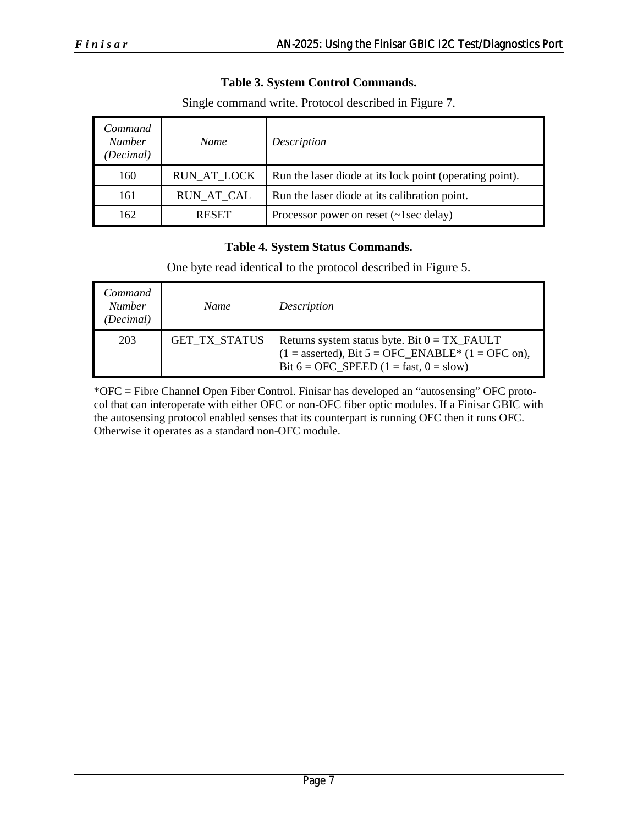#### **Table 3. System Control Commands.**

| Command<br><b>Number</b><br>(Decimal) | Name               | Description                                              |
|---------------------------------------|--------------------|----------------------------------------------------------|
| 160                                   | <b>RUN_AT_LOCK</b> | Run the laser diode at its lock point (operating point). |
| 161                                   | <b>RUN_AT_CAL</b>  | Run the laser diode at its calibration point.            |
| 162                                   | <b>RESET</b>       | Processor power on reset $(\sim 1$ sec delay)            |

Single command write. Protocol described in Figure 7.

#### **Table 4. System Status Commands.**

One byte read identical to the protocol described in Figure 5.

| Command<br><b>Number</b><br>(Decimal) | <b>Name</b>          | Description                                                                                                                                               |
|---------------------------------------|----------------------|-----------------------------------------------------------------------------------------------------------------------------------------------------------|
| 203                                   | <b>GET TX STATUS</b> | Returns system status byte. Bit $0 = TX$ FAULT<br>$(1 =$ asserted), Bit $5 =$ OFC_ENABLE* $(1 =$ OFC on),<br>Bit $6 =$ OFC SPEED $(1 =$ fast, $0 =$ slow) |

\*OFC = Fibre Channel Open Fiber Control. Finisar has developed an "autosensing" OFC protocol that can interoperate with either OFC or non-OFC fiber optic modules. If a Finisar GBIC with the autosensing protocol enabled senses that its counterpart is running OFC then it runs OFC. Otherwise it operates as a standard non-OFC module.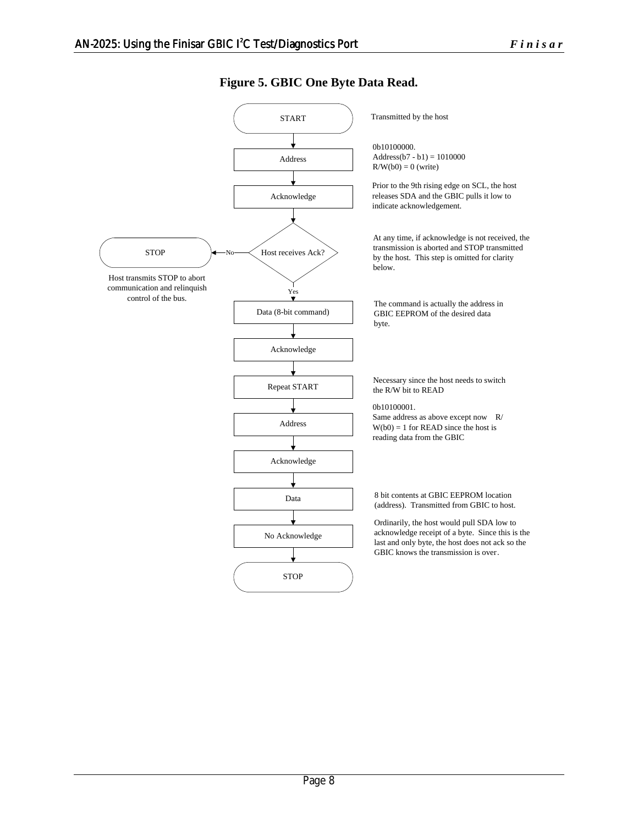START Address Acknowledge  $STOP$   $\leftarrow$  No $\leftarrow$  Host receives Ack? Yes Data (8-bit command) Transmitted by the host 0b10100000. Address( $b7 - b1$ ) = 1010000  $R/W(b0) = 0$  (write) Prior to the 9th rising edge on SCL, the host releases SDA and the GBIC pulls it low to indicate acknowledgement. No Host transmits STOP to abort communication and relinquish control of the bus. The command is actually the address in GBIC EEPROM of the desired data byte. Acknowledge Repeat START Address 0b10100001. Same address as above except now R/  $W(b0) = 1$  for READ since the host is reading data from the GBIC Acknowledge Data No Acknowledge **STOP** Necessary since the host needs to switch the R/W bit to READ 8 bit contents at GBIC EEPROM location (address). Transmitted from GBIC to host. Ordinarily, the host would pull SDA low to acknowledge receipt of a byte. Since this is the last and only byte, the host does not ack so the GBIC knows the transmission is over. At any time, if acknowledge is not received, the transmission is aborted and STOP transmitted by the host. This step is omitted for clarity below.

**Figure 5. GBIC One Byte Data Read.**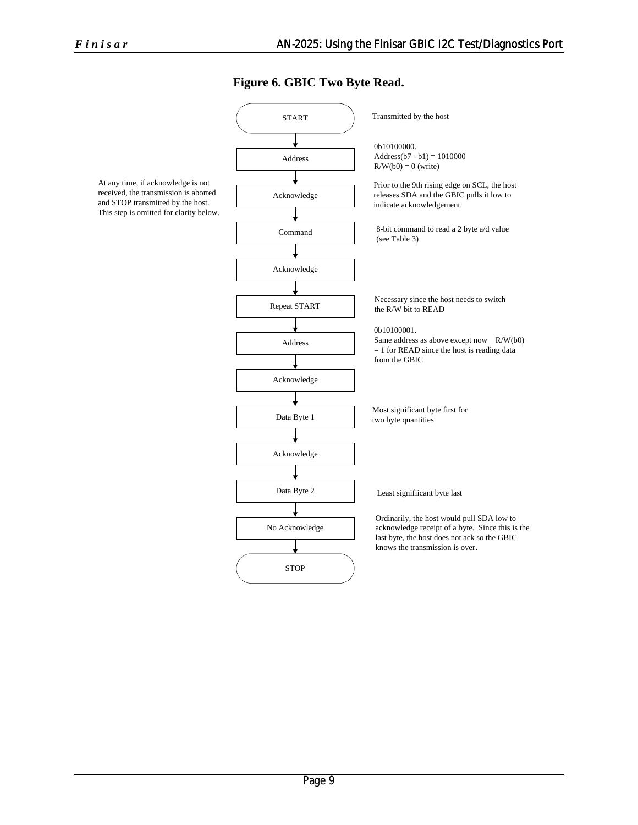#### **Figure 6. GBIC Two Byte Read.**



At any time, if acknowledge is not received, the transmission is aborted and STOP transmitted by the host. This step is omitted for clarity below.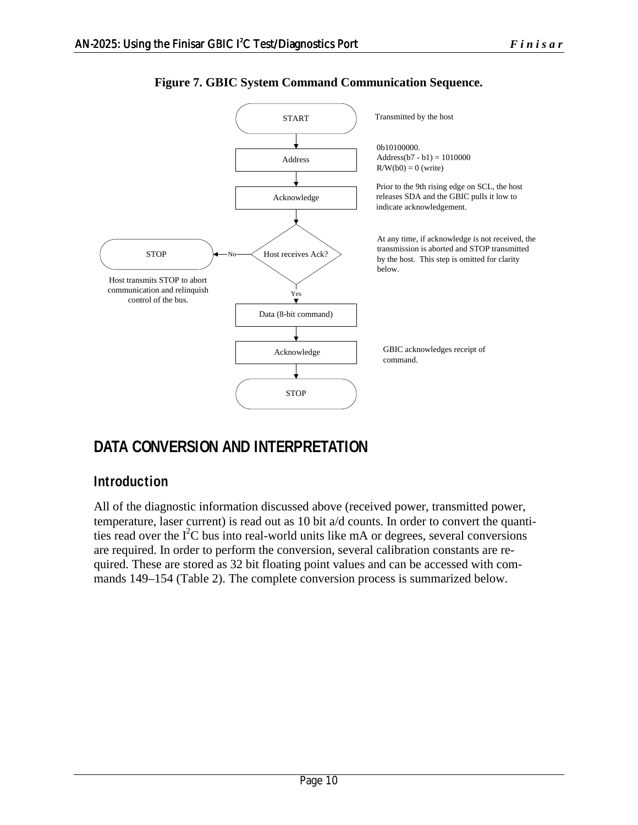

#### **Figure 7. GBIC System Command Communication Sequence.**

# **DATA CONVERSION AND INTERPRETATION**

### **Introduction**

All of the diagnostic information discussed above (received power, transmitted power, temperature, laser current) is read out as 10 bit a/d counts. In order to convert the quantities read over the  $I<sup>2</sup>C$  bus into real-world units like mA or degrees, several conversions are required. In order to perform the conversion, several calibration constants are required. These are stored as 32 bit floating point values and can be accessed with commands 149–154 (Table 2). The complete conversion process is summarized below.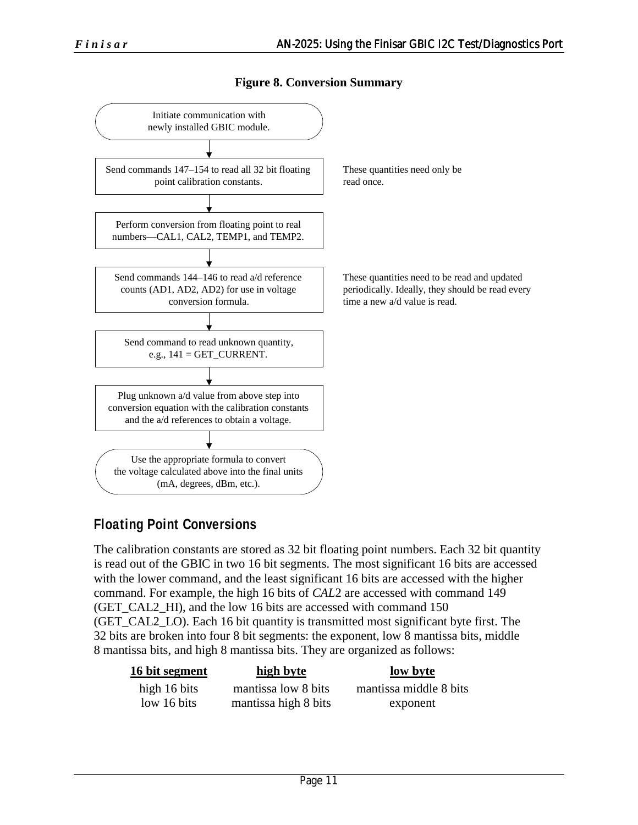**Figure 8. Conversion Summary** 



### **Floating Point Conversions**

The calibration constants are stored as 32 bit floating point numbers. Each 32 bit quantity is read out of the GBIC in two 16 bit segments. The most significant 16 bits are accessed with the lower command, and the least significant 16 bits are accessed with the higher command. For example, the high 16 bits of *CAL*2 are accessed with command 149 (GET\_CAL2\_HI), and the low 16 bits are accessed with command 150 (GET\_CAL2\_LO). Each 16 bit quantity is transmitted most significant byte first. The 32 bits are broken into four 8 bit segments: the exponent, low 8 mantissa bits, middle 8 mantissa bits, and high 8 mantissa bits. They are organized as follows:

| 16 bit segment | high byte            | low byte               |
|----------------|----------------------|------------------------|
| high 16 bits   | mantissa low 8 bits  | mantissa middle 8 bits |
| low 16 bits    | mantissa high 8 bits | exponent               |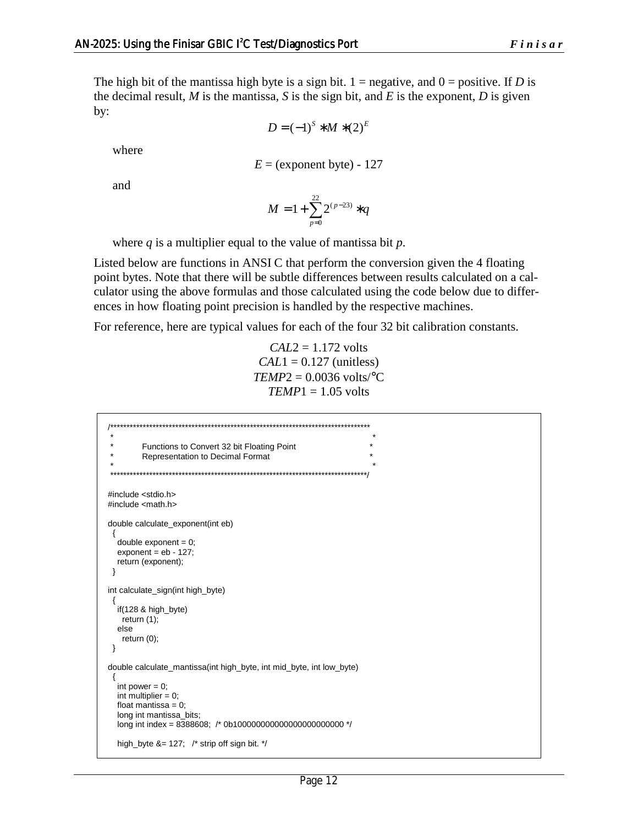The high bit of the mantissa high byte is a sign bit.  $1 =$  negative, and  $0 =$  positive. If *D* is the decimal result,  $M$  is the mantissa,  $S$  is the sign bit, and  $E$  is the exponent,  $D$  is given by:

$$
D = (-1)^{S} * M * (2)^{E}
$$

where

$$
E = (exponent byte) - 127
$$

and

$$
M = 1 + \sum_{p=0}^{22} 2^{(p-23)} * q
$$

where *q* is a multiplier equal to the value of mantissa bit *p*.

Listed below are functions in ANSI C that perform the conversion given the 4 floating point bytes. Note that there will be subtle differences between results calculated on a calculator using the above formulas and those calculated using the code below due to differences in how floating point precision is handled by the respective machines.

For reference, here are typical values for each of the four 32 bit calibration constants.

$$
CAL2 = 1.172 \text{ volts}
$$
  
 
$$
CAL1 = 0.127 \text{ (unitless)}
$$
  
 
$$
TEMP2 = 0.0036 \text{ volts} / ^{\circ}C
$$
  
 
$$
TEMP1 = 1.05 \text{ volts}
$$

```
/******************************************************************************** 
\star \star * Functions to Convert 32 bit Floating Point * 
        Representation to Decimal Format
\star \star *******************************************************************************/ 
#include <stdio.h> 
#include <math.h> 
double calculate_exponent(int eb) 
  { 
  double exponent = 0;
  exponent = eb - 127; return (exponent); 
  } 
int calculate_sign(int high_byte) 
  { 
   if(128 & high_byte) 
   return (1); 
   else 
    return (0); 
 } 
double calculate_mantissa(int high_byte, int mid_byte, int low_byte) 
  { 
  int power = 0;
  int multiplier = 0;
  float mantissa = 0;
   long int mantissa_bits; 
  long int index = 8388608; /* 0b10000000000000000000000000000 */
   high_byte &= 127; /* strip off sign bit. */
```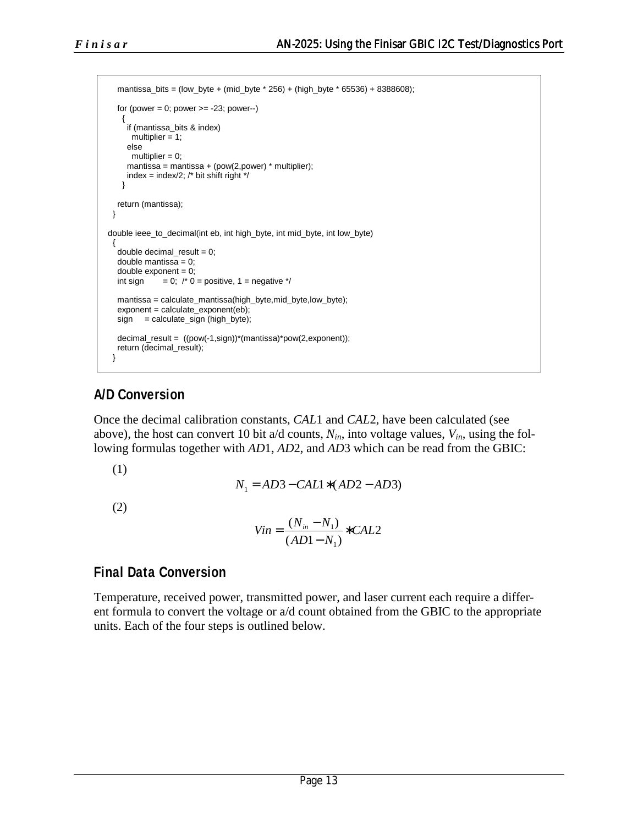```
 mantissa_bits = (low_byte + (mid_byte * 256) + (high_byte * 65536) + 8388608); 
  for (power = 0; power > = -23; power-)
\{ if (mantissa_bits & index) 
      multiplier = 1;
      else 
      multiplier = 0;
     mantissa = mantissa + (pow(2,power) * multiplier);index = index/2; \frac{1}{2} bit shift right \frac{1}{2} } 
   return (mantissa); 
  } 
double ieee_to_decimal(int eb, int high_byte, int mid_byte, int low_byte) 
 { 
  double decimal_result = 0;
  double mantissa = 0:
  double exponent = 0;<br>int sign = 0; /* 0= 0; /* 0 = positive, 1 = negative */
   mantissa = calculate_mantissa(high_byte,mid_byte,low_byte); 
   exponent = calculate_exponent(eb); 
  sign = calculate_sign (high_byte);
   decimal_result = ((pow(-1,sign))*(mantissa)*pow(2,exponent)); 
   return (decimal_result); 
  }
```
### **A/D Conversion**

Once the decimal calibration constants, *CAL*1 and *CAL*2, have been calculated (see above), the host can convert 10 bit  $a/d$  counts,  $N_{in}$ , into voltage values,  $V_{in}$ , using the following formulas together with *AD*1, *AD*2, and *AD*3 which can be read from the GBIC:

(1)

$$
N_1 = AD3 - CAL1 * (AD2 - AD3)
$$

(2)

$$
Vin = \frac{(N_{in} - N_1)}{(AD1 - N_1)} * CAL2
$$

### **Final Data Conversion**

Temperature, received power, transmitted power, and laser current each require a different formula to convert the voltage or a/d count obtained from the GBIC to the appropriate units. Each of the four steps is outlined below.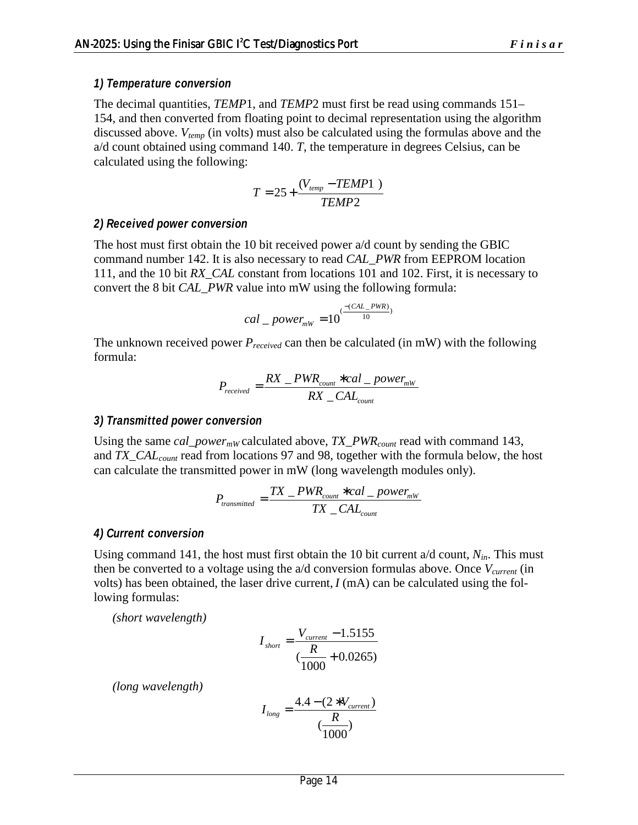#### *1) Temperature conversion*

The decimal quantities, *TEMP*1, and *TEMP*2 must first be read using commands 151– 154, and then converted from floating point to decimal representation using the algorithm discussed above. *Vtemp* (in volts) must also be calculated using the formulas above and the a/d count obtained using command 140. *T*, the temperature in degrees Celsius, can be calculated using the following:

$$
T = 25 + \frac{(V_{temp} - TEMP1)}{TEMP2}
$$

#### *2) Received power conversion*

The host must first obtain the 10 bit received power a/d count by sending the GBIC command number 142. It is also necessary to read *CAL\_PWR* from EEPROM location 111, and the 10 bit *RX\_CAL* constant from locations 101 and 102. First, it is necessary to convert the 8 bit *CAL\_PWR* value into mW using the following formula:

$$
cal\_power_{\scriptscriptstyle mW} = 10^{(\frac{-(CAL\_PWR)}{10})}
$$

The unknown received power *Preceived* can then be calculated (in mW) with the following formula:

$$
P_{received} = \frac{RX_{\text{}} + \text{PWR}_{count} * \text{cal}_{\text{}} + \text{power}_{\text{mw}}}{RX_{\text{}} - \text{CAL}_{count}}
$$

#### *3) Transmitted power conversion*

Using the same *cal\_power<sub>mW</sub>* calculated above, *TX\_PWR<sub>count</sub>* read with command 143, and *TX\_CALcount* read from locations 97 and 98, together with the formula below, the host can calculate the transmitted power in mW (long wavelength modules only).

$$
P_{transmitted} = \frac{TX_{\text{}} - PWR_{count} * cal_{\text{}} - power_{mw}}{TX_{\text{}} - CAL_{count}}
$$

#### *4) Current conversion*

Using command 141, the host must first obtain the 10 bit current a/d count, *Nin*. This must then be converted to a voltage using the a/d conversion formulas above. Once *V<sub>current</sub>* (in volts) has been obtained, the laser drive current,  $I(mA)$  can be calculated using the following formulas:

*(short wavelength)* 

$$
I_{short} = \frac{V_{current} - 1.5155}{\left(\frac{R}{1000} + 0.0265\right)}
$$

*(long wavelength)* 

$$
I_{long} = \frac{4.4 - (2 * V_{current})}{\frac{R}{1000}}
$$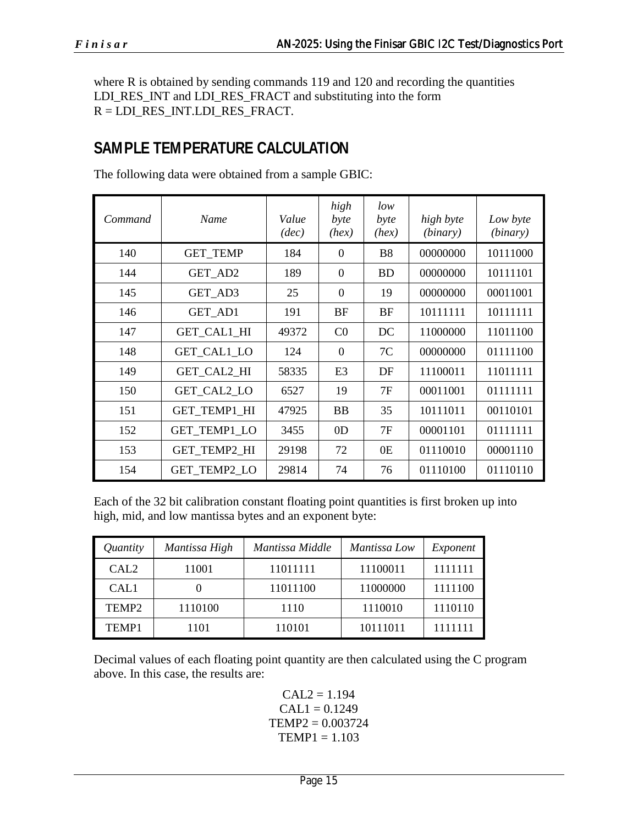where R is obtained by sending commands 119 and 120 and recording the quantities LDI\_RES\_INT and LDI\_RES\_FRACT and substituting into the form R = LDI\_RES\_INT.LDI\_RES\_FRACT.

# **SAMPLE TEMPERATURE CALCULATION**

| Command | Name                | Value<br>(dec) | high<br>byte<br>(hex) | low<br>byte<br>(hex) | high byte<br>(binary) | Low byte<br>(binary) |
|---------|---------------------|----------------|-----------------------|----------------------|-----------------------|----------------------|
| 140     | <b>GET TEMP</b>     | 184            | $\Omega$              | <b>B8</b>            | 00000000              | 10111000             |
| 144     | GET AD2             | 189            | $\Omega$              | <b>BD</b>            | 00000000              | 10111101             |
| 145     | GET AD3             | 25             | $\Omega$              | 19                   | 00000000              | 00011001             |
| 146     | GET_AD1             | 191            | <b>BF</b>             | <b>BF</b>            | 10111111              | 10111111             |
| 147     | GET_CAL1_HI         | 49372          | CO                    | DC                   | 11000000              | 11011100             |
| 148     | GET CAL1 LO         | 124            | $\Omega$              | 7C                   | 00000000              | 01111100             |
| 149     | GET CAL2 HI         | 58335          | E <sub>3</sub>        | DF                   | 11100011              | 11011111             |
| 150     | GET CAL2 LO         | 6527           | 19                    | 7F                   | 00011001              | 01111111             |
| 151     | <b>GET TEMP1 HI</b> | 47925          | <b>BB</b>             | 35                   | 10111011              | 00110101             |
| 152     | <b>GET TEMP1 LO</b> | 3455           | 0 <sub>D</sub>        | 7F                   | 00001101              | 01111111             |
| 153     | GET_TEMP2_HI        | 29198          | 72                    | 0 <sub>E</sub>       | 01110010              | 00001110             |
| 154     | <b>GET TEMP2 LO</b> | 29814          | 74                    | 76                   | 01110100              | 01110110             |

The following data were obtained from a sample GBIC:

Each of the 32 bit calibration constant floating point quantities is first broken up into high, mid, and low mantissa bytes and an exponent byte:

| Quantity          | Mantissa High | Mantissa Middle | Mantissa Low | Exponent |
|-------------------|---------------|-----------------|--------------|----------|
| CAL <sub>2</sub>  | 11001         | 11011111        | 11100011     | 1111111  |
| CAL1              |               | 11011100        | 11000000     | 1111100  |
| TEMP <sub>2</sub> | 1110100       | 1110            | 1110010      | 1110110  |
| TEMP1             | 1101          | 110101          | 10111011     | 1111111  |

Decimal values of each floating point quantity are then calculated using the C program above. In this case, the results are:

> $CAL2 = 1.194$  $CAL1 = 0.1249$  $TEMP2 = 0.003724$  $TEMP1 = 1.103$